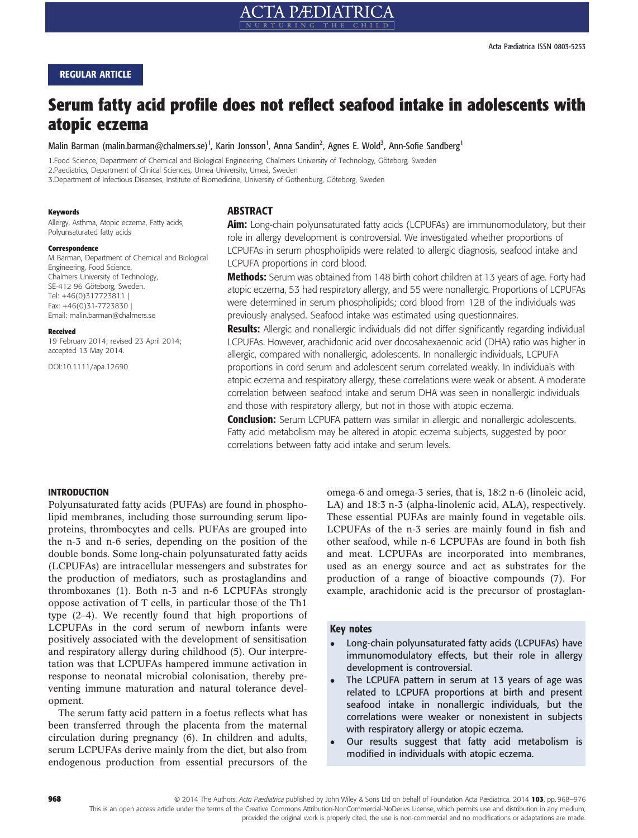# REGULAR ARTICLE

# Serum fatty acid profile does not reflect seafood intake in adolescents with atopic eczema

Malin Barman (malin.barman@chalmers.se)<sup>1</sup>, Karin Jonsson<sup>1</sup>, Anna Sandin<sup>2</sup>, Agnes E. Wold<sup>3</sup>, Ann-Sofie Sandberg<sup>1</sup>

1.Food Science, Department of Chemical and Biological Engineering, Chalmers University of Technology, Göteborg, Sweden 2.Paediatrics, Department of Clinical Sciences, Umeå University, Umeå, Sweden 3.Department of Infectious Diseases, Institute of Biomedicine, University of Gothenburg, Göteborg, Sweden

#### Keywords

Allergy, Asthma, Atopic eczema, Fatty acids, Polyunsaturated fatty acids

#### Correspondence

M Barman, Department of Chemical and Biological Engineering, Food Science, Chalmers University of Technology, SE-412 96 Göteborg, Sweden. Tel: +46(0)317723811 | Fax: +46(0)31-7723830 | Email: malin.barman@chalmers.se

#### Received

19 February 2014; revised 23 April 2014; accepted 13 May 2014.

DOI:10.1111/apa.12690

# **ABSTRACT**

Aim: Long-chain polyunsaturated fatty acids (LCPUFAs) are immunomodulatory, but their role in allergy development is controversial. We investigated whether proportions of LCPUFAs in serum phospholipids were related to allergic diagnosis, seafood intake and LCPUFA proportions in cord blood.

**Methods:** Serum was obtained from 148 birth cohort children at 13 years of age. Forty had atopic eczema, 53 had respiratory allergy, and 55 were nonallergic. Proportions of LCPUFAs were determined in serum phospholipids; cord blood from 128 of the individuals was previously analysed. Seafood intake was estimated using questionnaires.

Results: Allergic and nonallergic individuals did not differ significantly regarding individual LCPUFAs. However, arachidonic acid over docosahexaenoic acid (DHA) ratio was higher in allergic, compared with nonallergic, adolescents. In nonallergic individuals, LCPUFA proportions in cord serum and adolescent serum correlated weakly. In individuals with atopic eczema and respiratory allergy, these correlations were weak or absent. A moderate correlation between seafood intake and serum DHA was seen in nonallergic individuals and those with respiratory allergy, but not in those with atopic eczema.

**Conclusion:** Serum LCPUFA pattern was similar in allergic and nonallergic adolescents. Fatty acid metabolism may be altered in atopic eczema subjects, suggested by poor correlations between fatty acid intake and serum levels.

## INTRODUCTION

Polyunsaturated fatty acids (PUFAs) are found in phospholipid membranes, including those surrounding serum lipoproteins, thrombocytes and cells. PUFAs are grouped into the n-3 and n-6 series, depending on the position of the double bonds. Some long-chain polyunsaturated fatty acids (LCPUFAs) are intracellular messengers and substrates for the production of mediators, such as prostaglandins and thromboxanes (1). Both n-3 and n-6 LCPUFAs strongly oppose activation of T cells, in particular those of the Th1 type (2–4). We recently found that high proportions of LCPUFAs in the cord serum of newborn infants were positively associated with the development of sensitisation and respiratory allergy during childhood (5). Our interpretation was that LCPUFAs hampered immune activation in response to neonatal microbial colonisation, thereby preventing immune maturation and natural tolerance development.

The serum fatty acid pattern in a foetus reflects what has been transferred through the placenta from the maternal circulation during pregnancy (6). In children and adults, serum LCPUFAs derive mainly from the diet, but also from endogenous production from essential precursors of the omega-6 and omega-3 series, that is, 18:2 n-6 (linoleic acid, LA) and 18:3 n-3 (alpha-linolenic acid, ALA), respectively. These essential PUFAs are mainly found in vegetable oils. LCPUFAs of the n-3 series are mainly found in fish and other seafood, while n-6 LCPUFAs are found in both fish and meat. LCPUFAs are incorporated into membranes, used as an energy source and act as substrates for the production of a range of bioactive compounds (7). For example, arachidonic acid is the precursor of prostaglan-

## Key notes

- Long-chain polyunsaturated fatty acids (LCPUFAs) have immunomodulatory effects, but their role in allergy development is controversial.
- The LCPUFA pattern in serum at 13 years of age was related to LCPUFA proportions at birth and present seafood intake in nonallergic individuals, but the correlations were weaker or nonexistent in subjects with respiratory allergy or atopic eczema.
- Our results suggest that fatty acid metabolism is modified in individuals with atopic eczema.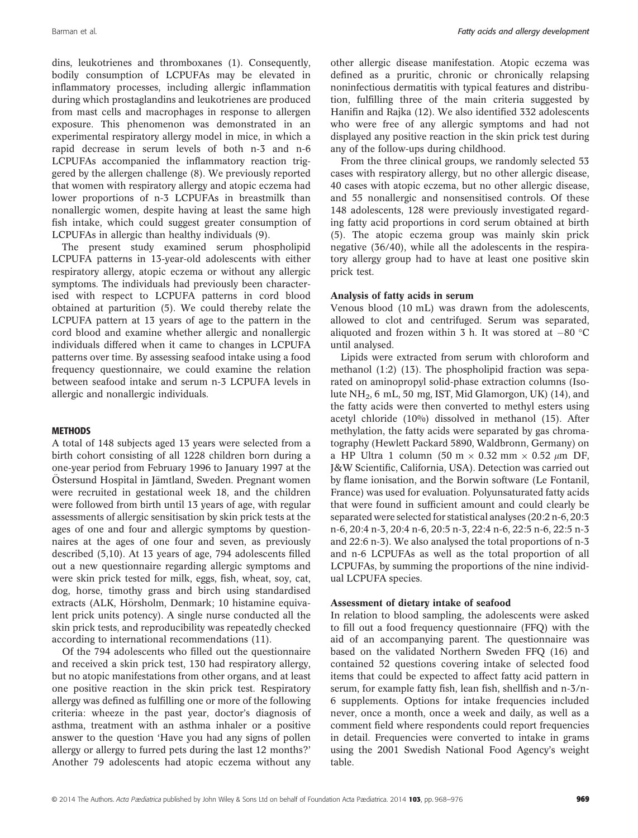dins, leukotrienes and thromboxanes (1). Consequently, bodily consumption of LCPUFAs may be elevated in inflammatory processes, including allergic inflammation during which prostaglandins and leukotrienes are produced from mast cells and macrophages in response to allergen exposure. This phenomenon was demonstrated in an experimental respiratory allergy model in mice, in which a rapid decrease in serum levels of both n-3 and n-6 LCPUFAs accompanied the inflammatory reaction triggered by the allergen challenge (8). We previously reported that women with respiratory allergy and atopic eczema had lower proportions of n-3 LCPUFAs in breastmilk than nonallergic women, despite having at least the same high fish intake, which could suggest greater consumption of LCPUFAs in allergic than healthy individuals (9).

The present study examined serum phospholipid LCPUFA patterns in 13-year-old adolescents with either respiratory allergy, atopic eczema or without any allergic symptoms. The individuals had previously been characterised with respect to LCPUFA patterns in cord blood obtained at parturition (5). We could thereby relate the LCPUFA pattern at 13 years of age to the pattern in the cord blood and examine whether allergic and nonallergic individuals differed when it came to changes in LCPUFA patterns over time. By assessing seafood intake using a food frequency questionnaire, we could examine the relation between seafood intake and serum n-3 LCPUFA levels in allergic and nonallergic individuals.

### **METHODS**

A total of 148 subjects aged 13 years were selected from a birth cohort consisting of all 1228 children born during a one-year period from February 1996 to January 1997 at the Ostersund Hospital in Jämtland, Sweden. Pregnant women were recruited in gestational week 18, and the children were followed from birth until 13 years of age, with regular assessments of allergic sensitisation by skin prick tests at the ages of one and four and allergic symptoms by questionnaires at the ages of one four and seven, as previously described (5,10). At 13 years of age, 794 adolescents filled out a new questionnaire regarding allergic symptoms and were skin prick tested for milk, eggs, fish, wheat, soy, cat, dog, horse, timothy grass and birch using standardised extracts (ALK, Hörsholm, Denmark; 10 histamine equivalent prick units potency). A single nurse conducted all the skin prick tests, and reproducibility was repeatedly checked according to international recommendations (11).

Of the 794 adolescents who filled out the questionnaire and received a skin prick test, 130 had respiratory allergy, but no atopic manifestations from other organs, and at least one positive reaction in the skin prick test. Respiratory allergy was defined as fulfilling one or more of the following criteria: wheeze in the past year, doctor's diagnosis of asthma, treatment with an asthma inhaler or a positive answer to the question 'Have you had any signs of pollen allergy or allergy to furred pets during the last 12 months?' Another 79 adolescents had atopic eczema without any other allergic disease manifestation. Atopic eczema was defined as a pruritic, chronic or chronically relapsing noninfectious dermatitis with typical features and distribution, fulfilling three of the main criteria suggested by Hanifin and Rajka (12). We also identified 332 adolescents who were free of any allergic symptoms and had not displayed any positive reaction in the skin prick test during any of the follow-ups during childhood.

From the three clinical groups, we randomly selected 53 cases with respiratory allergy, but no other allergic disease, 40 cases with atopic eczema, but no other allergic disease, and 55 nonallergic and nonsensitised controls. Of these 148 adolescents, 128 were previously investigated regarding fatty acid proportions in cord serum obtained at birth (5). The atopic eczema group was mainly skin prick negative (36/40), while all the adolescents in the respiratory allergy group had to have at least one positive skin prick test.

# Analysis of fatty acids in serum

Venous blood (10 mL) was drawn from the adolescents, allowed to clot and centrifuged. Serum was separated, aliquoted and frozen within 3 h. It was stored at  $-80$  °C until analysed.

Lipids were extracted from serum with chloroform and methanol (1:2) (13). The phospholipid fraction was separated on aminopropyl solid-phase extraction columns (Isolute NH2, 6 mL, 50 mg, IST, Mid Glamorgon, UK) (14), and the fatty acids were then converted to methyl esters using acetyl chloride (10%) dissolved in methanol (15). After methylation, the fatty acids were separated by gas chromatography (Hewlett Packard 5890, Waldbronn, Germany) on a HP Ultra 1 column (50 m  $\times$  0.32 mm  $\times$  0.52  $\mu$ m DF, J&W Scientific, California, USA). Detection was carried out by flame ionisation, and the Borwin software (Le Fontanil, France) was used for evaluation. Polyunsaturated fatty acids that were found in sufficient amount and could clearly be separated were selected for statistical analyses (20:2 n-6, 20:3 n-6, 20:4 n-3, 20:4 n-6, 20:5 n-3, 22:4 n-6, 22:5 n-6, 22:5 n-3 and 22:6 n-3). We also analysed the total proportions of n-3 and n-6 LCPUFAs as well as the total proportion of all LCPUFAs, by summing the proportions of the nine individual LCPUFA species.

#### Assessment of dietary intake of seafood

In relation to blood sampling, the adolescents were asked to fill out a food frequency questionnaire (FFQ) with the aid of an accompanying parent. The questionnaire was based on the validated Northern Sweden FFQ (16) and contained 52 questions covering intake of selected food items that could be expected to affect fatty acid pattern in serum, for example fatty fish, lean fish, shellfish and n-3/n-6 supplements. Options for intake frequencies included never, once a month, once a week and daily, as well as a comment field where respondents could report frequencies in detail. Frequencies were converted to intake in grams using the 2001 Swedish National Food Agency's weight table.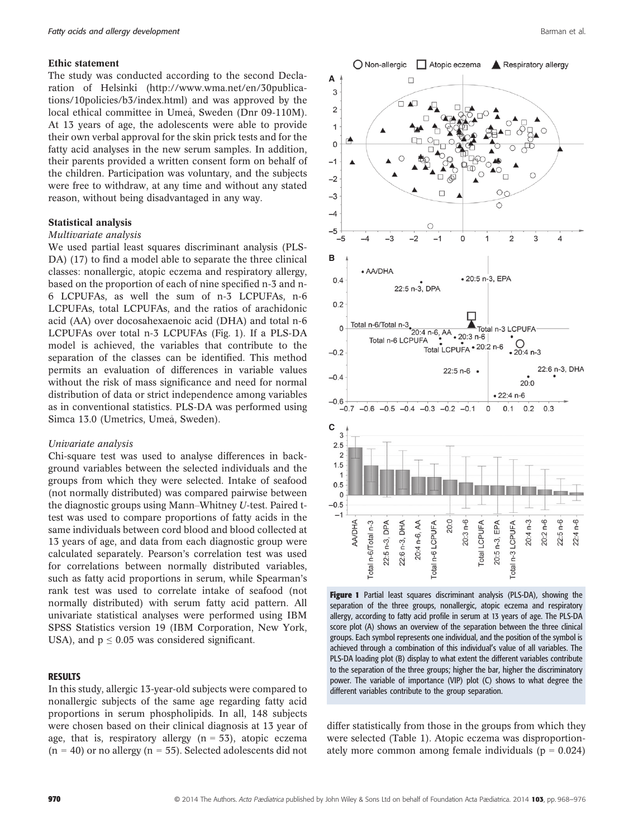# Ethic statement

The study was conducted according to the second Declaration of Helsinki (http://www.wma.net/en/30publications/10policies/b3/index.html) and was approved by the local ethical committee in Umeå, Sweden (Dnr 09-110M). At 13 years of age, the adolescents were able to provide their own verbal approval for the skin prick tests and for the fatty acid analyses in the new serum samples. In addition, their parents provided a written consent form on behalf of the children. Participation was voluntary, and the subjects were free to withdraw, at any time and without any stated reason, without being disadvantaged in any way.

#### Statistical analysis

## Multivariate analysis

We used partial least squares discriminant analysis (PLS-DA) (17) to find a model able to separate the three clinical classes: nonallergic, atopic eczema and respiratory allergy, based on the proportion of each of nine specified n-3 and n-6 LCPUFAs, as well the sum of n-3 LCPUFAs, n-6 LCPUFAs, total LCPUFAs, and the ratios of arachidonic acid (AA) over docosahexaenoic acid (DHA) and total n-6 LCPUFAs over total n-3 LCPUFAs (Fig. 1). If a PLS-DA model is achieved, the variables that contribute to the separation of the classes can be identified. This method permits an evaluation of differences in variable values without the risk of mass significance and need for normal distribution of data or strict independence among variables as in conventional statistics. PLS-DA was performed using Simca 13.0 (Umetrics, Umeå, Sweden).

#### Univariate analysis

Chi-square test was used to analyse differences in background variables between the selected individuals and the groups from which they were selected. Intake of seafood (not normally distributed) was compared pairwise between the diagnostic groups using Mann–Whitney U-test. Paired ttest was used to compare proportions of fatty acids in the same individuals between cord blood and blood collected at 13 years of age, and data from each diagnostic group were calculated separately. Pearson's correlation test was used for correlations between normally distributed variables, such as fatty acid proportions in serum, while Spearman's rank test was used to correlate intake of seafood (not normally distributed) with serum fatty acid pattern. All univariate statistical analyses were performed using IBM SPSS Statistics version 19 (IBM Corporation, New York, USA), and  $p \le 0.05$  was considered significant.

# RESULTS

In this study, allergic 13-year-old subjects were compared to nonallergic subjects of the same age regarding fatty acid proportions in serum phospholipids. In all, 148 subjects were chosen based on their clinical diagnosis at 13 year of age, that is, respiratory allergy  $(n = 53)$ , atopic eczema  $(n = 40)$  or no allergy  $(n = 55)$ . Selected adolescents did not



Figure 1 Partial least squares discriminant analysis (PLS-DA), showing the separation of the three groups, nonallergic, atopic eczema and respiratory allergy, according to fatty acid profile in serum at 13 years of age. The PLS-DA score plot (A) shows an overview of the separation between the three clinical groups. Each symbol represents one individual, and the position of the symbol is achieved through a combination of this individual's value of all variables. The PLS-DA loading plot (B) display to what extent the different variables contribute to the separation of the three groups; higher the bar, higher the discriminatory power. The variable of importance (VIP) plot (C) shows to what degree the different variables contribute to the group separation.

differ statistically from those in the groups from which they were selected (Table 1). Atopic eczema was disproportionately more common among female individuals ( $p = 0.024$ )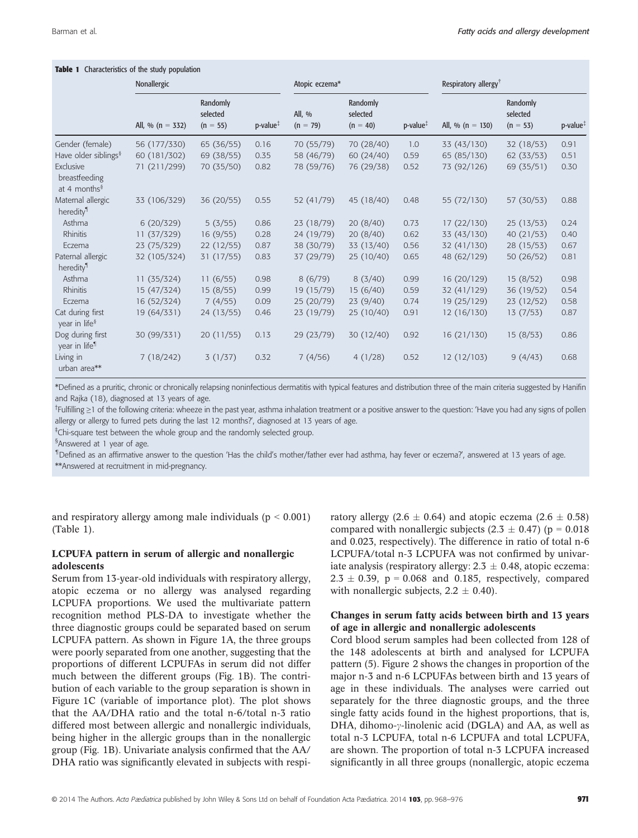| Characteristics of the study population<br>Table 1      |                      |                                    |                       |                      |                                    |                       |                                  |                                    |                       |  |  |
|---------------------------------------------------------|----------------------|------------------------------------|-----------------------|----------------------|------------------------------------|-----------------------|----------------------------------|------------------------------------|-----------------------|--|--|
|                                                         | Nonallergic          |                                    |                       | Atopic eczema*       |                                    |                       | Respiratory allergy <sup>†</sup> |                                    |                       |  |  |
|                                                         | All, % ( $n = 332$ ) | Randomly<br>selected<br>$(n = 55)$ | $p$ -value $\ddagger$ | All, %<br>$(n = 79)$ | Randomly<br>selected<br>$(n = 40)$ | $p$ -value $\ddagger$ | All, % ( $n = 130$ )             | Randomly<br>selected<br>$(n = 53)$ | $p$ -value $\ddagger$ |  |  |
| Gender (female)                                         | 56 (177/330)         | 65 (36/55)                         | 0.16                  | 70 (55/79)           | 70 (28/40)                         | 1.0                   | 33 (43/130)                      | 32 (18/53)                         | 0.91                  |  |  |
| Have older siblings <sup>§</sup>                        | 60 (181/302)         | 69 (38/55)                         | 0.35                  | 58 (46/79)           | 60 (24/40)                         | 0.59                  | 65 (85/130)                      | 62(33/53)                          | 0.51                  |  |  |
| Exclusive<br>breastfeeding<br>at 4 months $\frac{8}{3}$ | 71 (211/299)         | 70 (35/50)                         | 0.82                  | 78 (59/76)           | 76 (29/38)                         | 0.52                  | 73 (92/126)                      | 69 (35/51)                         | 0.30                  |  |  |
| Maternal allergic<br>heredity <sup>¶</sup>              | 33 (106/329)         | 36 (20/55)                         | 0.55                  | 52 (41/79)           | 45 (18/40)                         | 0.48                  | 55 (72/130)                      | 57 (30/53)                         | 0.88                  |  |  |
| Asthma                                                  | 6(20/329)            | 5(3/55)                            | 0.86                  | 23 (18/79)           | 20(8/40)                           | 0.73                  | 17(22/130)                       | 25(13/53)                          | 0.24                  |  |  |
| <b>Rhinitis</b>                                         | 11(37/329)           | 16(9/55)                           | 0.28                  | 24 (19/79)           | 20(8/40)                           | 0.62                  | 33 (43/130)                      | 40(21/53)                          | 0.40                  |  |  |
| Eczema                                                  | 23(75/329)           | 22(12/55)                          | 0.87                  | 38 (30/79)           | 33 (13/40)                         | 0.56                  | 32 (41/130)                      | 28(15/53)                          | 0.67                  |  |  |
| Paternal allergic<br>heredity <sup>¶</sup>              | 32 (105/324)         | 31(17/55)                          | 0.83                  | 37 (29/79)           | 25(10/40)                          | 0.65                  | 48 (62/129)                      | 50(26/52)                          | 0.81                  |  |  |
| Asthma                                                  | 11(35/324)           | 11(6/55)                           | 0.98                  | 8(6/79)              | 8(3/40)                            | 0.99                  | 16 (20/129)                      | 15(8/52)                           | 0.98                  |  |  |
| Rhinitis                                                | 15 (47/324)          | 15(8/55)                           | 0.99                  | 19 (15/79)           | 15(6/40)                           | 0.59                  | 32 (41/129)                      | 36 (19/52)                         | 0.54                  |  |  |
| Eczema                                                  | 16 (52/324)          | 7(4/55)                            | 0.09                  | 25 (20/79)           | 23(9/40)                           | 0.74                  | 19 (25/129)                      | 23(12/52)                          | 0.58                  |  |  |
| Cat during first<br>year in life <sup>§</sup>           | 19 (64/331)          | 24(13/55)                          | 0.46                  | 23 (19/79)           | 25 (10/40)                         | 0.91                  | 12(16/130)                       | 13(7/53)                           | 0.87                  |  |  |
| Dog during first<br>year in life <sup>1</sup>           | 30 (99/331)          | 20(11/55)                          | 0.13                  | 29 (23/79)           | 30 (12/40)                         | 0.92                  | 16(21/130)                       | 15(8/53)                           | 0.86                  |  |  |
| Living in<br>urban area**                               | 7(18/242)            | 3(1/37)                            | 0.32                  | 7(4/56)              | 4(1/28)                            | 0.52                  | 12(12/103)                       | 9(4/43)                            | 0.68                  |  |  |

\*Defined as a pruritic, chronic or chronically relapsing noninfectious dermatitis with typical features and distribution three of the main criteria suggested by Hanifin and Rajka (18), diagnosed at 13 years of age.

<sup>†</sup>Fulfilling ≥1 of the following criteria: wheeze in the past year, asthma inhalation treatment or a positive answer to the question: 'Have you had any signs of pollen allergy or allergy to furred pets during the last 12 months?', diagnosed at 13 years of age.

‡ Chi-square test between the whole group and the randomly selected group.

<sup>§</sup>Answered at 1 year of age.

<sup>1</sup>Defined as an affirmative answer to the question 'Has the child's mother/father ever had asthma, hay fever or eczema?', answered at 13 years of age.

\*\*Answered at recruitment in mid-pregnancy.

and respiratory allergy among male individuals ( $p < 0.001$ ) (Table 1).

# LCPUFA pattern in serum of allergic and nonallergic adolescents

Serum from 13-year-old individuals with respiratory allergy, atopic eczema or no allergy was analysed regarding LCPUFA proportions. We used the multivariate pattern recognition method PLS-DA to investigate whether the three diagnostic groups could be separated based on serum LCPUFA pattern. As shown in Figure 1A, the three groups were poorly separated from one another, suggesting that the proportions of different LCPUFAs in serum did not differ much between the different groups (Fig. 1B). The contribution of each variable to the group separation is shown in Figure 1C (variable of importance plot). The plot shows that the AA/DHA ratio and the total n-6/total n-3 ratio differed most between allergic and nonallergic individuals, being higher in the allergic groups than in the nonallergic group (Fig. 1B). Univariate analysis confirmed that the AA/ DHA ratio was significantly elevated in subjects with respiratory allergy (2.6  $\pm$  0.64) and atopic eczema (2.6  $\pm$  0.58) compared with nonallergic subjects (2.3  $\pm$  0.47) (p = 0.018 and 0.023, respectively). The difference in ratio of total n-6 LCPUFA/total n-3 LCPUFA was not confirmed by univariate analysis (respiratory allergy:  $2.3 \pm 0.48$ , atopic eczema:  $2.3 \pm 0.39$ , p = 0.068 and 0.185, respectively, compared with nonallergic subjects,  $2.2 \pm 0.40$ ).

# Changes in serum fatty acids between birth and 13 years of age in allergic and nonallergic adolescents

Cord blood serum samples had been collected from 128 of the 148 adolescents at birth and analysed for LCPUFA pattern (5). Figure 2 shows the changes in proportion of the major n-3 and n-6 LCPUFAs between birth and 13 years of age in these individuals. The analyses were carried out separately for the three diagnostic groups, and the three single fatty acids found in the highest proportions, that is, DHA, dihomo- $\gamma$ -linolenic acid (DGLA) and AA, as well as total n-3 LCPUFA, total n-6 LCPUFA and total LCPUFA, are shown. The proportion of total n-3 LCPUFA increased significantly in all three groups (nonallergic, atopic eczema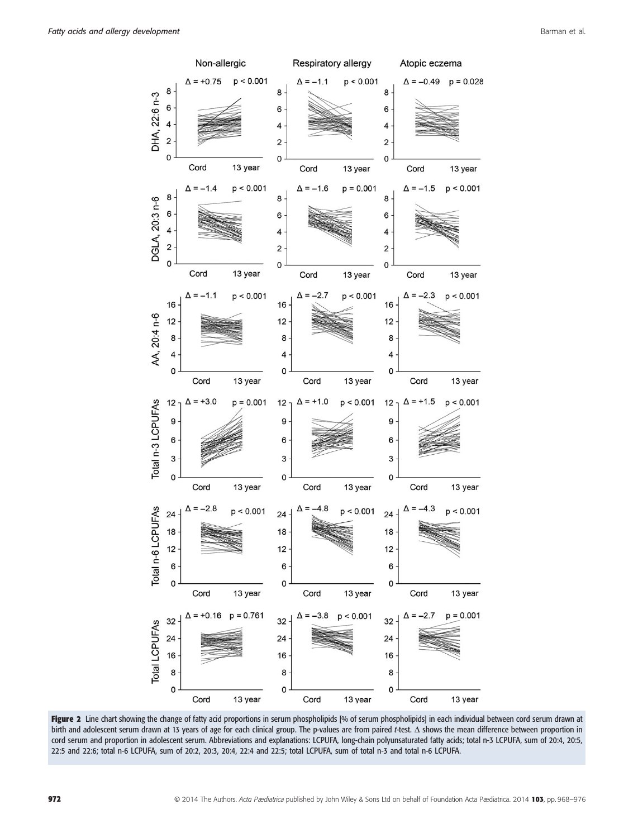

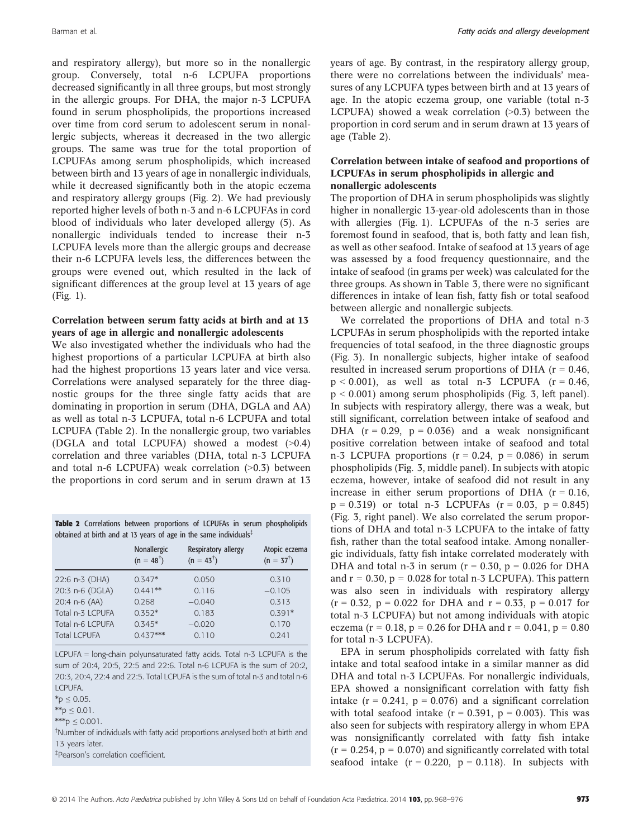and respiratory allergy), but more so in the nonallergic group. Conversely, total n-6 LCPUFA proportions decreased significantly in all three groups, but most strongly in the allergic groups. For DHA, the major n-3 LCPUFA found in serum phospholipids, the proportions increased over time from cord serum to adolescent serum in nonallergic subjects, whereas it decreased in the two allergic groups. The same was true for the total proportion of LCPUFAs among serum phospholipids, which increased between birth and 13 years of age in nonallergic individuals, while it decreased significantly both in the atopic eczema and respiratory allergy groups (Fig. 2). We had previously reported higher levels of both n-3 and n-6 LCPUFAs in cord blood of individuals who later developed allergy (5). As nonallergic individuals tended to increase their n-3 LCPUFA levels more than the allergic groups and decrease their n-6 LCPUFA levels less, the differences between the groups were evened out, which resulted in the lack of significant differences at the group level at 13 years of age (Fig. 1).

# Correlation between serum fatty acids at birth and at 13 years of age in allergic and nonallergic adolescents

We also investigated whether the individuals who had the highest proportions of a particular LCPUFA at birth also had the highest proportions 13 years later and vice versa. Correlations were analysed separately for the three diagnostic groups for the three single fatty acids that are dominating in proportion in serum (DHA, DGLA and AA) as well as total n-3 LCPUFA, total n-6 LCPUFA and total LCPUFA (Table 2). In the nonallergic group, two variables (DGLA and total LCPUFA) showed a modest (>0.4) correlation and three variables (DHA, total n-3 LCPUFA and total n-6 LCPUFA) weak correlation (>0.3) between the proportions in cord serum and in serum drawn at 13

|                                                                               |  |  |  |  |  |  |  | Table 2 Correlations between proportions of LCPUFAs in serum phospholipids |
|-------------------------------------------------------------------------------|--|--|--|--|--|--|--|----------------------------------------------------------------------------|
| obtained at birth and at 13 years of age in the same individuals <sup>#</sup> |  |  |  |  |  |  |  |                                                                            |

|                     | Nonallergic<br>$(n = 48^{\dagger})$ | Respiratory allergy<br>$(n = 43^{\dagger})$ | Atopic eczema<br>$(n = 37^{\dagger})$ |
|---------------------|-------------------------------------|---------------------------------------------|---------------------------------------|
| 22:6 n-3 (DHA)      | $0.347*$                            | 0.050                                       | 0.310                                 |
| 20:3 n-6 (DGLA)     | $0.441**$                           | 0.116                                       | $-0.105$                              |
| 20:4 n-6 (AA)       | 0.268                               | $-0.040$                                    | 0.313                                 |
| Total n-3 LCPUFA    | $0.352*$                            | 0.183                                       | $0.391*$                              |
| Total n-6 LCPUFA    | $0.345*$                            | $-0.020$                                    | 0.170                                 |
| <b>Total LCPUFA</b> | $0.437***$                          | 0.110                                       | 0.241                                 |

LCPUFA = long-chain polyunsaturated fatty acids. Total n-3 LCPUFA is the sum of 20:4, 20:5, 22:5 and 22:6. Total n-6 LCPUFA is the sum of 20:2, 20:3, 20:4, 22:4 and 22:5. Total LCPUFA is the sum of total n-3 and total n-6 LCPUFA.

 $*$  $p \leq 0.01$ .

\*\*\*p  $\leq 0.001$ .

† Number of individuals with fatty acid proportions analysed both at birth and 13 years later.

‡ Pearson's correlation coefficient.

years of age. By contrast, in the respiratory allergy group, there were no correlations between the individuals' measures of any LCPUFA types between birth and at 13 years of age. In the atopic eczema group, one variable (total n-3 LCPUFA) showed a weak correlation  $(>0.3)$  between the proportion in cord serum and in serum drawn at 13 years of age (Table 2).

# Correlation between intake of seafood and proportions of LCPUFAs in serum phospholipids in allergic and nonallergic adolescents

The proportion of DHA in serum phospholipids was slightly higher in nonallergic 13-year-old adolescents than in those with allergies (Fig. 1). LCPUFAs of the n-3 series are foremost found in seafood, that is, both fatty and lean fish, as well as other seafood. Intake of seafood at 13 years of age was assessed by a food frequency questionnaire, and the intake of seafood (in grams per week) was calculated for the three groups. As shown in Table 3, there were no significant differences in intake of lean fish, fatty fish or total seafood between allergic and nonallergic subjects.

We correlated the proportions of DHA and total n-3 LCPUFAs in serum phospholipids with the reported intake frequencies of total seafood, in the three diagnostic groups (Fig. 3). In nonallergic subjects, higher intake of seafood resulted in increased serum proportions of DHA ( $r = 0.46$ ,  $p < 0.001$ ), as well as total n-3 LCPUFA ( $r = 0.46$ ) p < 0.001) among serum phospholipids (Fig. 3, left panel). In subjects with respiratory allergy, there was a weak, but still significant, correlation between intake of seafood and DHA  $(r = 0.29, p = 0.036)$  and a weak nonsignificant positive correlation between intake of seafood and total n-3 LCPUFA proportions ( $r = 0.24$ ,  $p = 0.086$ ) in serum phospholipids (Fig. 3, middle panel). In subjects with atopic eczema, however, intake of seafood did not result in any increase in either serum proportions of DHA ( $r = 0.16$ ,  $p = 0.319$ ) or total n-3 LCPUFAs ( $r = 0.03$ ,  $p = 0.845$ ) (Fig. 3, right panel). We also correlated the serum proportions of DHA and total n-3 LCPUFA to the intake of fatty fish, rather than the total seafood intake. Among nonallergic individuals, fatty fish intake correlated moderately with DHA and total n-3 in serum ( $r = 0.30$ ,  $p = 0.026$  for DHA and  $r = 0.30$ ,  $p = 0.028$  for total n-3 LCPUFA). This pattern was also seen in individuals with respiratory allergy  $(r = 0.32, p = 0.022$  for DHA and  $r = 0.33, p = 0.017$  for total n-3 LCPUFA) but not among individuals with atopic eczema (r = 0.18, p = 0.26 for DHA and r = 0.041, p = 0.80 for total n-3 LCPUFA).

EPA in serum phospholipids correlated with fatty fish intake and total seafood intake in a similar manner as did DHA and total n-3 LCPUFAs. For nonallergic individuals, EPA showed a nonsignificant correlation with fatty fish intake  $(r = 0.241, p = 0.076)$  and a significant correlation with total seafood intake  $(r = 0.391, p = 0.003)$ . This was also seen for subjects with respiratory allergy in whom EPA was nonsignificantly correlated with fatty fish intake  $(r = 0.254, p = 0.070)$  and significantly correlated with total seafood intake  $(r = 0.220, p = 0.118)$ . In subjects with

 $*p \le 0.05$ .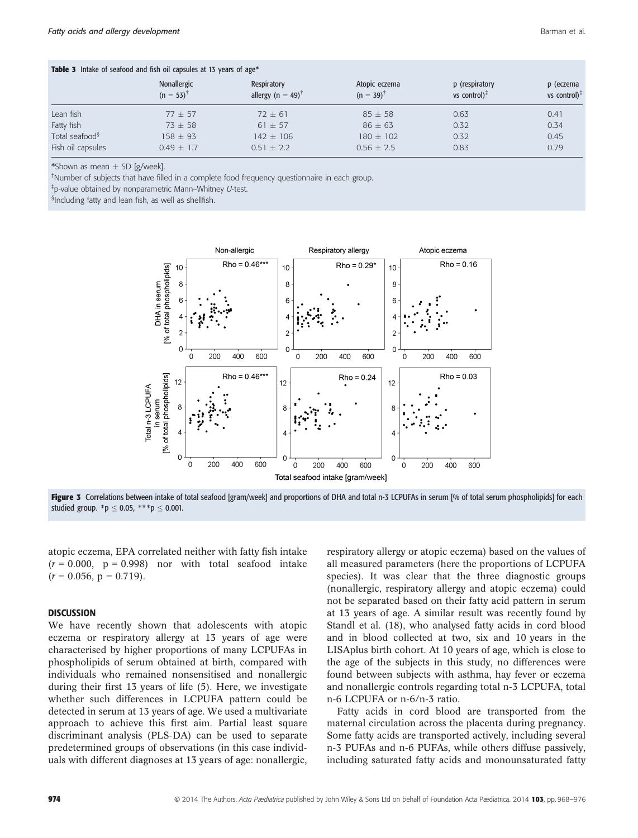| <b>Table 3</b> Intake of seafood and fish oil capsules at 13 years of age* |                               |                                              |                                       |                                   |                              |  |  |
|----------------------------------------------------------------------------|-------------------------------|----------------------------------------------|---------------------------------------|-----------------------------------|------------------------------|--|--|
|                                                                            | Nonallergic<br>$(n = 53)^{t}$ | Respiratory<br>allergy (n = 49) <sup>†</sup> | Atopic eczema<br>$(n = 39)^{\dagger}$ | p (respiratory<br>vs control) $1$ | p (eczema<br>vs control) $†$ |  |  |
| Lean fish                                                                  | $77 \pm 57$                   | $72 \pm 61$                                  | $85 \pm 58$                           | 0.63                              | 0.41                         |  |  |
| Fatty fish                                                                 | $73 \pm 58$                   | $61 + 57$                                    | $86 \pm 63$                           | 0.32                              | 0.34                         |  |  |
| Total seafood <sup>§</sup>                                                 | $158 \pm 93$                  | $142 \pm 106$                                | $180 \pm 102$                         | 0.32                              | 0.45                         |  |  |
| Fish oil capsules                                                          | $0.49 + 1.7$                  | $0.51 + 2.2$                                 | $0.56 + 2.5$                          | 0.83                              | 0.79                         |  |  |

\*Shown as mean  $\pm$  SD [g/week].

† Number of subjects that have filled in a complete food frequency questionnaire in each group.

‡ p-value obtained by nonparametric Mann–Whitney U-test.

§ Including fatty and lean fish, as well as shellfish.



Figure 3 Correlations between intake of total seafood [gram/week] and proportions of DHA and total n-3 LCPUFAs in serum [% of total serum phospholipids] for each studied group. \*p  $\leq$  0.05, \*\*\*p  $\leq$  0.001.

atopic eczema, EPA correlated neither with fatty fish intake  $(r = 0.000, p = 0.998)$  nor with total seafood intake  $(r = 0.056, p = 0.719).$ 

# **DISCUSSION**

We have recently shown that adolescents with atopic eczema or respiratory allergy at 13 years of age were characterised by higher proportions of many LCPUFAs in phospholipids of serum obtained at birth, compared with individuals who remained nonsensitised and nonallergic during their first 13 years of life (5). Here, we investigate whether such differences in LCPUFA pattern could be detected in serum at 13 years of age. We used a multivariate approach to achieve this first aim. Partial least square discriminant analysis (PLS-DA) can be used to separate predetermined groups of observations (in this case individuals with different diagnoses at 13 years of age: nonallergic, respiratory allergy or atopic eczema) based on the values of all measured parameters (here the proportions of LCPUFA species). It was clear that the three diagnostic groups (nonallergic, respiratory allergy and atopic eczema) could not be separated based on their fatty acid pattern in serum at 13 years of age. A similar result was recently found by Standl et al. (18), who analysed fatty acids in cord blood and in blood collected at two, six and 10 years in the LISAplus birth cohort. At 10 years of age, which is close to the age of the subjects in this study, no differences were found between subjects with asthma, hay fever or eczema and nonallergic controls regarding total n-3 LCPUFA, total n-6 LCPUFA or n-6/n-3 ratio.

Fatty acids in cord blood are transported from the maternal circulation across the placenta during pregnancy. Some fatty acids are transported actively, including several n-3 PUFAs and n-6 PUFAs, while others diffuse passively, including saturated fatty acids and monounsaturated fatty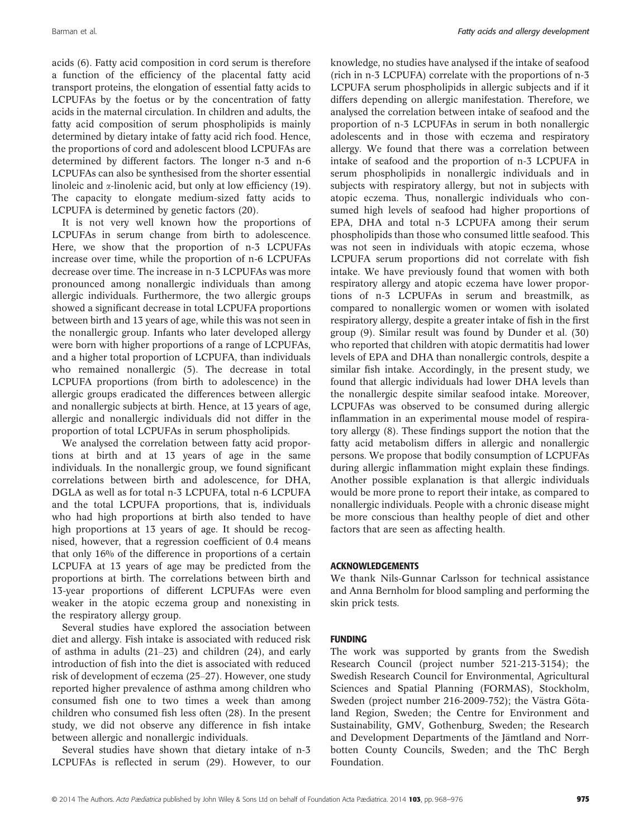acids (6). Fatty acid composition in cord serum is therefore a function of the efficiency of the placental fatty acid transport proteins, the elongation of essential fatty acids to LCPUFAs by the foetus or by the concentration of fatty acids in the maternal circulation. In children and adults, the fatty acid composition of serum phospholipids is mainly determined by dietary intake of fatty acid rich food. Hence, the proportions of cord and adolescent blood LCPUFAs are determined by different factors. The longer n-3 and n-6 LCPUFAs can also be synthesised from the shorter essential linoleic and  $\alpha$ -linolenic acid, but only at low efficiency (19). The capacity to elongate medium-sized fatty acids to LCPUFA is determined by genetic factors (20).

It is not very well known how the proportions of LCPUFAs in serum change from birth to adolescence. Here, we show that the proportion of n-3 LCPUFAs increase over time, while the proportion of n-6 LCPUFAs decrease over time. The increase in n-3 LCPUFAs was more pronounced among nonallergic individuals than among allergic individuals. Furthermore, the two allergic groups showed a significant decrease in total LCPUFA proportions between birth and 13 years of age, while this was not seen in the nonallergic group. Infants who later developed allergy were born with higher proportions of a range of LCPUFAs, and a higher total proportion of LCPUFA, than individuals who remained nonallergic (5). The decrease in total LCPUFA proportions (from birth to adolescence) in the allergic groups eradicated the differences between allergic and nonallergic subjects at birth. Hence, at 13 years of age, allergic and nonallergic individuals did not differ in the proportion of total LCPUFAs in serum phospholipids.

We analysed the correlation between fatty acid proportions at birth and at 13 years of age in the same individuals. In the nonallergic group, we found significant correlations between birth and adolescence, for DHA, DGLA as well as for total n-3 LCPUFA, total n-6 LCPUFA and the total LCPUFA proportions, that is, individuals who had high proportions at birth also tended to have high proportions at 13 years of age. It should be recognised, however, that a regression coefficient of 0.4 means that only 16% of the difference in proportions of a certain LCPUFA at 13 years of age may be predicted from the proportions at birth. The correlations between birth and 13-year proportions of different LCPUFAs were even weaker in the atopic eczema group and nonexisting in the respiratory allergy group.

Several studies have explored the association between diet and allergy. Fish intake is associated with reduced risk of asthma in adults (21–23) and children (24), and early introduction of fish into the diet is associated with reduced risk of development of eczema (25–27). However, one study reported higher prevalence of asthma among children who consumed fish one to two times a week than among children who consumed fish less often (28). In the present study, we did not observe any difference in fish intake between allergic and nonallergic individuals.

Several studies have shown that dietary intake of n-3 LCPUFAs is reflected in serum (29). However, to our knowledge, no studies have analysed if the intake of seafood (rich in n-3 LCPUFA) correlate with the proportions of n-3 LCPUFA serum phospholipids in allergic subjects and if it differs depending on allergic manifestation. Therefore, we analysed the correlation between intake of seafood and the proportion of n-3 LCPUFAs in serum in both nonallergic adolescents and in those with eczema and respiratory allergy. We found that there was a correlation between intake of seafood and the proportion of n-3 LCPUFA in serum phospholipids in nonallergic individuals and in subjects with respiratory allergy, but not in subjects with atopic eczema. Thus, nonallergic individuals who consumed high levels of seafood had higher proportions of EPA, DHA and total n-3 LCPUFA among their serum phospholipids than those who consumed little seafood. This was not seen in individuals with atopic eczema, whose LCPUFA serum proportions did not correlate with fish intake. We have previously found that women with both respiratory allergy and atopic eczema have lower proportions of n-3 LCPUFAs in serum and breastmilk, as compared to nonallergic women or women with isolated respiratory allergy, despite a greater intake of fish in the first group (9). Similar result was found by Dunder et al. (30) who reported that children with atopic dermatitis had lower levels of EPA and DHA than nonallergic controls, despite a similar fish intake. Accordingly, in the present study, we found that allergic individuals had lower DHA levels than the nonallergic despite similar seafood intake. Moreover, LCPUFAs was observed to be consumed during allergic inflammation in an experimental mouse model of respiratory allergy (8). These findings support the notion that the fatty acid metabolism differs in allergic and nonallergic persons. We propose that bodily consumption of LCPUFAs during allergic inflammation might explain these findings. Another possible explanation is that allergic individuals would be more prone to report their intake, as compared to nonallergic individuals. People with a chronic disease might be more conscious than healthy people of diet and other factors that are seen as affecting health.

# ACKNOWLEDGEMENTS

We thank Nils-Gunnar Carlsson for technical assistance and Anna Bernholm for blood sampling and performing the skin prick tests.

# FUNDING

The work was supported by grants from the Swedish Research Council (project number 521-213-3154); the Swedish Research Council for Environmental, Agricultural Sciences and Spatial Planning (FORMAS), Stockholm, Sweden (project number 216-2009-752); the Västra Götaland Region, Sweden; the Centre for Environment and Sustainability, GMV, Gothenburg, Sweden; the Research and Development Departments of the Jämtland and Norrbotten County Councils, Sweden; and the ThC Bergh Foundation.